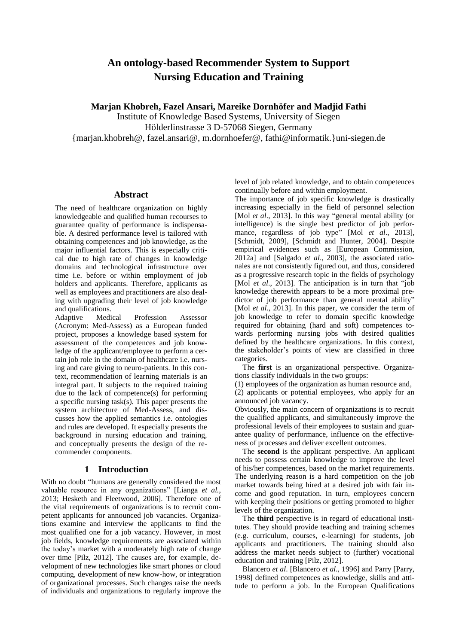# **An ontology-based Recommender System to Support Nursing Education and Training**

**Marjan Khobreh, Fazel Ansari, Mareike Dornhöfer and Madjid Fathi**

Institute of Knowledge Based Systems, University of Siegen Hölderlinstrasse 3 D-57068 Siegen, Germany

{marjan.khobreh@, fazel.ansari@, m.dornhoefer@, fathi@informatik.}uni-siegen.de

# **Abstract**

The need of healthcare organization on highly knowledgeable and qualified human recourses to guarantee quality of performance is indispensable. A desired performance level is tailored with obtaining competences and job knowledge, as the major influential factors. This is especially critical due to high rate of changes in knowledge domains and technological infrastructure over time i.e. before or within employment of job holders and applicants. Therefore, applicants as well as employees and practitioners are also dealing with upgrading their level of job knowledge and qualifications.

Adaptive Medical Profession Assessor (Acronym: Med-Assess) as a European funded project, proposes a knowledge based system for assessment of the competences and job knowledge of the applicant/employee to perform a certain job role in the domain of healthcare i.e. nursing and care giving to neuro-patients. In this context, recommendation of learning materials is an integral part. It subjects to the required training due to the lack of competence(s) for performing a specific nursing task(s). This paper presents the system architecture of Med-Assess, and discusses how the applied semantics i.e. ontologies and rules are developed. It especially presents the background in nursing education and training, and conceptually presents the design of the recommender components.

# **1 Introduction**

With no doubt "humans are generally considered the most valuable resource in any organizations" [Lianga *et al.*, 2013; Hesketh and Fleetwood, 2006]. Therefore one of the vital requirements of organizations is to recruit competent applicants for announced job vacancies. Organizations examine and interview the applicants to find the most qualified one for a job vacancy. However, in most job fields, knowledge requirements are associated within the today's market with a moderately high rate of change over time [Pilz, 2012]. The causes are, for example, development of new technologies like smart phones or cloud computing, development of new know-how, or integration of organizational processes. Such changes raise the needs of individuals and organizations to regularly improve the level of job related knowledge, and to obtain competences continually before and within employment.

The importance of job specific knowledge is drastically increasing especially in the field of personnel selection [Mol *et al.*, 2013]. In this way "general mental ability (or intelligence) is the single best predictor of job performance, regardless of job type" [Mol *et al*., 2013], [Schmidt, 2009], [Schmidt and Hunter, 2004]. Despite empirical evidences such as [European Commission, 2012a] and [Salgado *et al*., 2003], the associated rationales are not consistently figured out, and thus, considered as a progressive research topic in the fields of psychology [Mol *et al.*, 2013]. The anticipation is in turn that "job knowledge therewith appears to be a more proximal predictor of job performance than general mental ability' [Mol *et al.*, 2013]. In this paper, we consider the term of job knowledge to refer to domain specific knowledge required for obtaining (hard and soft) competences towards performing nursing jobs with desired qualities defined by the healthcare organizations. In this context, the stakeholder's points of view are classified in three categories.

The **first** is an organizational perspective. Organizations classify individuals in the two groups:

(1) employees of the organization as human resource and, (2) applicants or potential employees, who apply for an announced job vacancy.

Obviously, the main concern of organizations is to recruit the qualified applicants, and simultaneously improve the professional levels of their employees to sustain and guarantee quality of performance, influence on the effectiveness of processes and deliver excellent outcomes.

The **second** is the applicant perspective. An applicant needs to possess certain knowledge to improve the level of his/her competences, based on the market requirements. The underlying reason is a hard competition on the job market towards being hired at a desired job with fair income and good reputation. In turn, employees concern with keeping their positions or getting promoted to higher levels of the organization.

The **third** perspective is in regard of educational institutes. They should provide teaching and training schemes (e.g. curriculum, courses, e-learning) for students, job applicants and practitioners. The training should also address the market needs subject to (further) vocational education and training [Pilz, 2012].

Blancero *et al*. [Blancero *et al*., 1996] and Parry [Parry, 1998] defined competences as knowledge, skills and attitude to perform a job. In the European Qualifications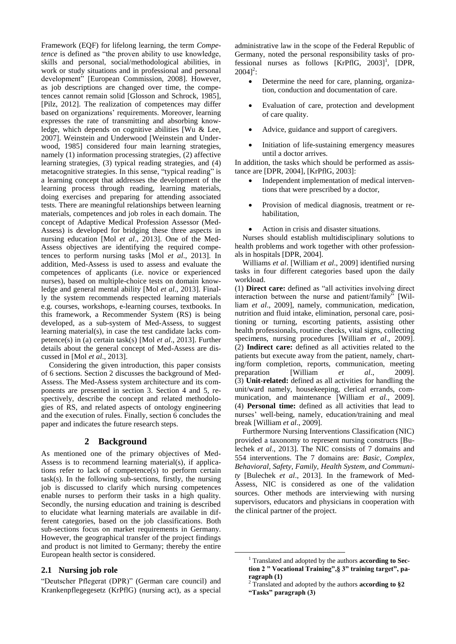Framework (EQF) for lifelong learning, the term *Competence* is defined as "the proven ability to use knowledge, skills and personal, social/methodological abilities, in work or study situations and in professional and personal development" [European Commission, 2008]. However, as job descriptions are changed over time, the competences cannot remain solid [Glosson and Schrock, 1985], [Pilz, 2012]. The realization of competences may differ based on organizations' requirements. Moreover, learning expresses the rate of transmitting and absorbing knowledge, which depends on cognitive abilities [Wu & Lee, 2007]. Weinstein and Underwood [Weinstein and Underwood, 1985] considered four main learning strategies, namely (1) information processing strategies, (2) affective learning strategies, (3) typical reading strategies, and (4) metacognitive strategies. In this sense, "typical reading" is a learning concept that addresses the development of the learning process through reading, learning materials, doing exercises and preparing for attending associated tests. There are meaningful relationships between learning materials, competences and job roles in each domain. The concept of Adaptive Medical Profession Assessor (Med-Assess) is developed for bridging these three aspects in nursing education [Mol *et al*., 2013]. One of the Med-Assess objectives are identifying the required competences to perform nursing tasks [Mol *et al*., 2013]. In addition, Med-Assess is used to assess and evaluate the competences of applicants (i.e. novice or experienced nurses), based on multiple-choice tests on domain knowledge and general mental ability [Mol *et al*., 2013]. Finally the system recommends respected learning materials e.g. courses, workshops, e-learning courses, textbooks. In this framework, a Recommender System (RS) is being developed, as a sub-system of Med-Assess, to suggest learning material(s), in case the test candidate lacks competence(s) in (a) certain task(s) [Mol *et al*., 2013]. Further details about the general concept of Med-Assess are discussed in [Mol *et al*., 2013].

Considering the given introduction, this paper consists of 6 sections. Section 2 discusses the background of Med-Assess. The Med-Assess system architecture and its components are presented in section 3. Section 4 and 5, respectively, describe the concept and related methodologies of RS, and related aspects of ontology engineering and the execution of rules. Finally, section 6 concludes the paper and indicates the future research steps.

# **2 Background**

As mentioned one of the primary objectives of Med-Assess is to recommend learning material(s), if applications refer to lack of competence(s) to perform certain task(s). In the following sub-sections, firstly, the nursing job is discussed to clarify which nursing competences enable nurses to perform their tasks in a high quality. Secondly, the nursing education and training is described to elucidate what learning materials are available in different categories, based on the job classifications. Both sub-sections focus on market requirements in Germany. However, the geographical transfer of the project findings and product is not limited to Germany; thereby the entire European health sector is considered.

# **2.1 Nursing job role**

"Deutscher Pflegerat (DPR)" (German care council) and Krankenpflegegesetz (KrPflG) (nursing act), as a special administrative law in the scope of the Federal Republic of Germany, noted the personal responsibility tasks of professional nurses as follows  $[KrPfIG, 2003]$ <sup>1</sup>, [DPR,  $2004$ <sup>2</sup>:

- Determine the need for care, planning, organization, conduction and documentation of care.
- Evaluation of care, protection and development of care quality.
- Advice, guidance and support of caregivers.
- Initiation of life-sustaining emergency measures until a doctor arrives.

In addition, the tasks which should be performed as assistance are [DPR, 2004], [KrPflG, 2003]:

- Independent implementation of medical interventions that were prescribed by a doctor,
- Provision of medical diagnosis, treatment or rehabilitation,
- Action in crisis and disaster situations.

Nurses should establish multidisciplinary solutions to health problems and work together with other professionals in hospitals [DPR, 2004].

Williams *et al*. [William *et al*., 2009] identified nursing tasks in four different categories based upon the daily workload.

(1) **Direct care:** defined as "all activities involving direct interaction between the nurse and patient/family" [William *et al*., 2009], namely, communication, medication, nutrition and fluid intake, elimination, personal care, positioning or turning, escorting patients, assisting other health professionals, routine checks, vital signs, collecting specimens, nursing procedures [William *et al*., 2009]. (2) **Indirect care:** defined as all activities related to the patients but execute away from the patient, namely, charting/form completion, reports, communication, meeting preparation [William *et al*., 2009]. (3) **Unit-related:** defined as all activities for handling the unit/ward namely, housekeeping, clerical errands, communication, and maintenance [William *et al*., 2009]. (4) **Personal time:** defined as all activities that lead to nurses' well-being, namely, education/training and meal break [William *et al*., 2009].

Furthermore Nursing Interventions Classification (NIC) provided a taxonomy to represent nursing constructs [Bulechek *et al*., 2013]. The NIC consists of 7 domains and 554 interventions. The 7 domains are: *Basic, Complex, Behavioral, Safety, Family, Health System, and Community* [Bulechek *et al*., 2013]. In the framework of Med-Assess, NIC is considered as one of the validation sources. Other methods are interviewing with nursing supervisors, educators and physicians in cooperation with the clinical partner of the project.

<u>.</u>

<sup>1</sup> Translated and adopted by the authors **according to Section 2 " Vocational Training",§ 3" training target", paragraph (1)**

<sup>2</sup> Translated and adopted by the authors **according to §2 "Tasks" paragraph (3)**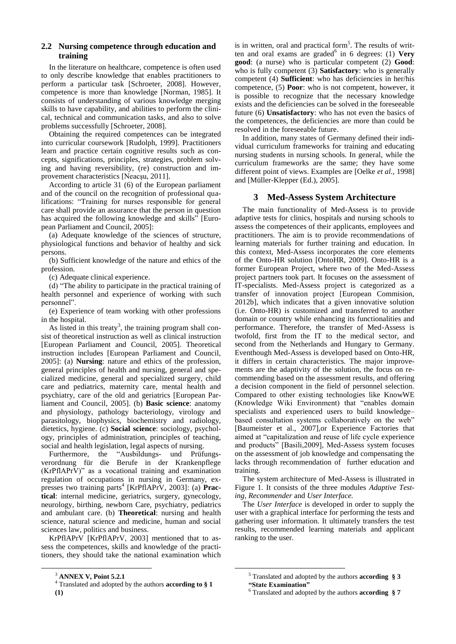# **2.2 Nursing competence through education and training**

In the literature on healthcare, competence is often used to only describe knowledge that enables practitioners to perform a particular task [Schroeter, 2008]. However, competence is more than knowledge [Norman, 1985]. It consists of understanding of various knowledge merging skills to have capability, and abilities to perform the clinical, technical and communication tasks, and also to solve problems successfully [Schroeter, 2008].

Obtaining the required competences can be integrated into curricular coursework [Rudolph, 1999]. Practitioners learn and practice certain cognitive results such as concepts, significations, principles, strategies, problem solving and having reversibility, (re) construction and improvement characteristics [Neacşu, 2011].

According to article 31 (6) of the European parliament and of the council on the recognition of professional qualifications: "Training for nurses responsible for general care shall provide an assurance that the person in question has acquired the following knowledge and skills" [European Parliament and Council, 2005]:

(a) Adequate knowledge of the sciences of structure, physiological functions and behavior of healthy and sick persons.

(b) Sufficient knowledge of the nature and ethics of the profession.

(c) Adequate clinical experience.

(d) "The ability to participate in the practical training of health personnel and experience of working with such personnel".

(e) Experience of team working with other professions in the hospital.

As listed in this treaty<sup>3</sup>, the training program shall consist of theoretical instruction as well as clinical instruction [European Parliament and Council, 2005]. Theoretical instruction includes [European Parliament and Council, 2005]: (a) **Nursing**: nature and ethics of the profession, general principles of health and nursing, general and specialized medicine, general and specialized surgery, child care and pediatrics, maternity care, mental health and psychiatry, care of the old and geriatrics [European Parliament and Council, 2005]. (b) **Basic science**: anatomy and physiology, pathology bacteriology, virology and parasitology, biophysics, biochemistry and radiology, dietetics, hygiene. (c) **Social science**: sociology, psychology, principles of administration, principles of teaching, social and health legislation, legal aspects of nursing.

Furthermore, the "Ausbildungs- und Prüfungsverordnung für die Berufe in der Krankenpflege (KrPflAPrV)" as a vocational training and examination regulation of occupations in nursing in Germany, expresses two training parts<sup>4</sup> [KrPflAPrV, 2003]: (a) Prac**tical**: internal medicine, geriatrics, surgery, gynecology, neurology, birthing, newborn Care, psychiatry, pediatrics and ambulant care. (b) **Theoretical**: nursing and health science, natural science and medicine, human and social sciences law, politics and business.

KrPflAPrV [KrPflAPrV, 2003] mentioned that to assess the competences, skills and knowledge of the practitioners, they should take the national examination which

 $\overline{a}$ 

is in written, oral and practical form<sup>5</sup>. The results of written and oral exams are graded<sup>6</sup> in 6 degrees: (1) Very **good**: (a nurse) who is particular competent (2) **Good**: who is fully competent (3) **Satisfactory**: who is generally competent (4) **Sufficient**: who has deficiencies in her/his competence, (5) **Poor**: who is not competent, however, it is possible to recognize that the necessary knowledge exists and the deficiencies can be solved in the foreseeable future (6) **Unsatisfactory**: who has not even the basics of the competences, the deficiencies are more than could be resolved in the foreseeable future.

In addition, many states of Germany defined their individual curriculum frameworks for training and educating nursing students in nursing schools. In general, while the curriculum frameworks are the same; they have some different point of views. Examples are [Oelke *et al.,* 1998] and [Müller-Klepper (Ed.), 2005].

# **3 Med-Assess System Architecture**

The main functionality of Med-Assess is to provide adaptive tests for clinics, hospitals and nursing schools to assess the competences of their applicants, employees and practitioners. The aim is to provide recommendations of learning materials for further training and education. In this context, Med-Assess incorporates the core elements of the Onto-HR solution [OntoHR, 2009]. Onto-HR is a former European Project, where two of the Med-Assess project partners took part. It focuses on the assessment of IT-specialists. Med-Assess project is categorized as a transfer of innovation project [European Commision, 2012b], which indicates that a given innovative solution (i.e. Onto-HR) is customized and transferred to another domain or country while enhancing its functionalities and performance. Therefore, the transfer of Med-Assess is twofold, first from the IT to the medical sector, and second from the Netherlands and Hungary to Germany. Eventhough Med-Assess is developed based on Onto-HR, it differs in certain characteristics. The major improvements are the adaptivity of the solution, the focus on recommending based on the assessment results, and offering a decision component in the field of personnel selection. Compared to other existing technologies like KnowWE (Knowledge Wiki Environment) that "enables domain specialists and experienced users to build knowledge– based consultation systems collaboratively on the web" [Baumeister et al., 2007],or Experience Factories that aimed at "capitalization and reuse of life cycle experience and products" [Basili,2009], Med-Assess system focuses on the assessment of job knowledge and compensating the lacks through recommendation of further education and training.

The system architecture of Med-Assess is illustrated in Figure 1. It consists of the three modules *Adaptive Testing, Recommender* and *User Interface.*

The *User Interface* is developed in order to supply the user with a graphical interface for performing the tests and gathering user information. It ultimately transfers the test results, recommended learning materials and applicant ranking to the user.

<u>.</u>

<sup>3</sup> **ANNEX V, Point 5.2.1**

<sup>4</sup> Translated and adopted by the authors **according to § 1 (1)**

<sup>5</sup> Translated and adopted by the authors **according § 3 "State Examination"**

<sup>6</sup> Translated and adopted by the authors **according § 7**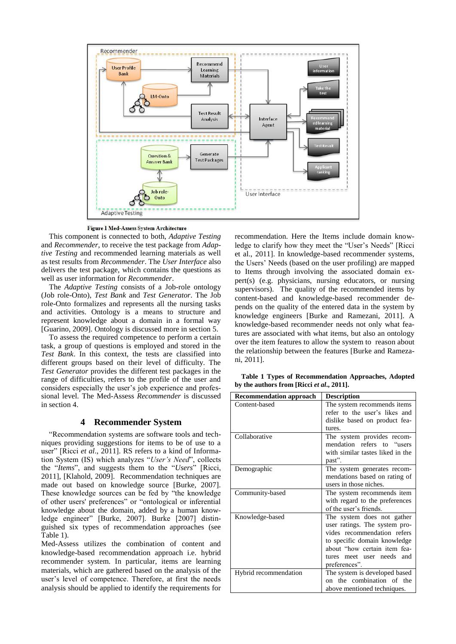

Figure 1 Med-Assess System Architecture

This component is connected to both, *Adaptive Testing* and *Recommender*, to receive the test package from *Adaptive Testing* and recommended learning materials as well as test results from *Recommender*. The *User Interface* also delivers the test package, which contains the questions as well as user information for *Recommender*.

The *Adaptive Testing* consists of a Job-role ontology (Job role-Onto), *Test Bank* and *Test Generator*. The Job role-Onto formalizes and represents all the nursing tasks and activities. Ontology is a means to structure and represent knowledge about a domain in a formal way [Guarino, 2009]. Ontology is discussed more in section 5.

To assess the required competence to perform a certain task, a group of questions is employed and stored in the *Test Bank*. In this context, the tests are classified into different groups based on their level of difficulty. The *Test Generator* provides the different test packages in the range of difficulties, refers to the profile of the user and considers especially the user's job experience and professional level. The Med-Assess *Recommender* is discussed in section 4.

# **4 Recommender System**

"Recommendation systems are software tools and techniques providing suggestions for items to be of use to a user" [Ricci *et al*., 2011]. RS refers to a kind of Information System (IS) which analyzes "*User's Need*", collects the "*Items*", and suggests them to the "*Users*" [Ricci, 2011], [Klahold, 2009]. Recommendation techniques are made out based on knowledge source [Burke, 2007]. These knowledge sources can be fed by "the knowledge of other users' preferences" or "ontological or inferential knowledge about the domain, added by a human knowledge engineer" [Burke, 2007]. Burke [2007] distinguished six types of recommendation approaches (see Table 1).

Med-Assess utilizes the combination of content and knowledge-based recommendation approach i.e. hybrid recommender system. In particular, items are learning materials, which are gathered based on the analysis of the user's level of competence. Therefore, at first the needs analysis should be applied to identify the requirements for recommendation. Here the Items include domain knowledge to clarify how they meet the "User's Needs" [Ricci et al., 2011]. In knowledge-based recommender systems, the Users' Needs (based on the user profiling) are mapped to Items through involving the associated domain expert(s) (e.g. physicians, nursing educators, or nursing supervisors). The quality of the recommended items by content-based and knowledge-based recommender depends on the quality of the entered data in the system by knowledge engineers [Burke and Ramezani, 2011]. A knowledge-based recommender needs not only what features are associated with what items, but also an ontology over the item features to allow the system to reason about the relationship between the features [Burke and Ramezani, 2011].

 **Table 1 Types of Recommendation Approaches, Adopted by the authors from [Ricci** *et al***., 2011].**

| <b>Recommendation approach</b> | <b>Description</b>                                                                                                                                                                                             |
|--------------------------------|----------------------------------------------------------------------------------------------------------------------------------------------------------------------------------------------------------------|
| Content-based                  | The system recommends items<br>refer to the user's likes and<br>dislike based on product fea-<br>tures.                                                                                                        |
| Collaborative                  | The system provides recom-<br>mendation refers to "users<br>with similar tastes liked in the<br>past".                                                                                                         |
| Demographic                    | The system generates recom-<br>mendations based on rating of<br>users in those niches.                                                                                                                         |
| Community-based                | The system recommends item<br>with regard to the preferences<br>of the user's friends.                                                                                                                         |
| Knowledge-based                | The system does not gather<br>user ratings. The system pro-<br>vides recommendation refers<br>to specific domain knowledge<br>about "how certain item fea-<br>and<br>meet user needs<br>tures<br>preferences". |
| Hybrid recommendation          | The system is developed based<br>on the combination of the<br>above mentioned techniques.                                                                                                                      |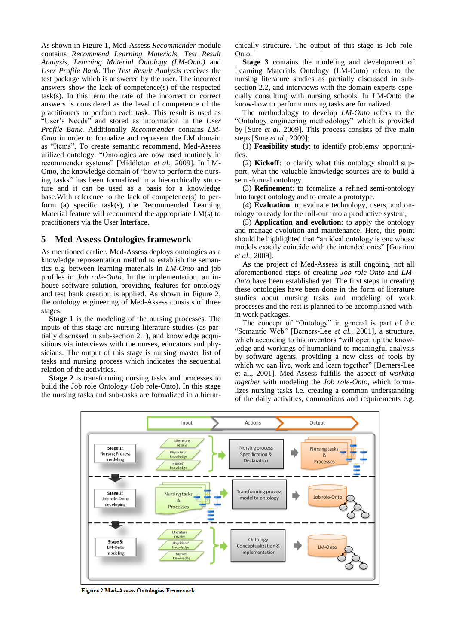As shown in Figure 1, Med-Assess *Recommender* module contains *Recommend Learning Materials*, *Test Result Analysis*, *Learning Material Ontology (LM-Onto)* and *User Profile Bank*. The *Test Result Analysis* receives the test package which is answered by the user. The incorrect answers show the lack of competence(s) of the respected task(s). In this term the rate of the incorrect or correct answers is considered as the level of competence of the practitioners to perform each task. This result is used as "User's Needs" and stored as information in the *User Profile Bank*. Additionally *Recommender* contains *LM-Onto* in order to formalize and represent the LM domain as "Items". To create semantic recommend, Med-Assess utilized ontology. "Ontologies are now used routinely in recommender systems" [Middleton *et al*., 2009]. In LM-Onto, the knowledge domain of "how to perform the nursing tasks" has been formalized in a hierarchically structure and it can be used as a basis for a knowledge base.With reference to the lack of competence(s) to perform (a) specific task(s), the Recommended Learning Material feature will recommend the appropriate LM(s) to practitioners via the User Interface.

#### **5 Med-Assess Ontologies framework**

As mentioned earlier, Med-Assess deploys ontologies as a knowledge representation method to establish the semantics e.g. between learning materials in *LM-Onto* and job profiles in *Job role-Onto*. In the implementation, an inhouse software solution, providing features for ontology and test bank creation is applied. As shown in Figure 2, the ontology engineering of Med-Assess consists of three stages.

**Stage 1** is the modeling of the nursing processes. The inputs of this stage are nursing literature studies (as partially discussed in sub-section 2.1), and knowledge acquisitions via interviews with the nurses, educators and physicians. The output of this stage is nursing master list of tasks and nursing process which indicates the sequential relation of the activities.

**Stage 2** is transforming nursing tasks and processes to build the Job role Ontology (Job role-Onto). In this stage the nursing tasks and sub-tasks are formalized in a hierarchically structure. The output of this stage is Job role-Onto.

**Stage 3** contains the modeling and development of Learning Materials Ontology (LM-Onto) refers to the nursing literature studies as partially discussed in subsection 2.2, and interviews with the domain experts especially consulting with nursing schools. In LM-Onto the know-how to perform nursing tasks are formalized.

The methodology to develop *LM-Onto* refers to the "Ontology engineering methodology" which is provided by [Sure *et al*. 2009]. This process consists of five main steps [Sure *et al*., 2009];

(1) **Feasibility study**: to identify problems/ opportunities.

(2) **Kickoff**: to clarify what this ontology should support, what the valuable knowledge sources are to build a semi-formal ontology.

(3) **Refinement**: to formalize a refined semi-ontology into target ontology and to create a prototype.

(4) **Evaluation**: to evaluate technology, users, and ontology to ready for the roll-out into a productive system,

(5) **Application and evolution**: to apply the ontology and manage evolution and maintenance. Here, this point should be highlighted that "an ideal ontology is one whose models exactly coincide with the intended ones" [Guarino *et al*., 2009].

As the project of Med-Assess is still ongoing, not all aforementioned steps of creating *Job role-Onto* and *LM-Onto* have been established yet. The first steps in creating these ontologies have been done in the form of literature studies about nursing tasks and modeling of work processes and the rest is planned to be accomplished within work packages.

The concept of "Ontology" in general is part of the "Semantic Web" [Berners-Lee *et al.,* 2001], a structure, which according to his inventors "will open up the knowledge and workings of humankind to meaningful analysis by software agents, providing a new class of tools by which we can live, work and learn together" [Berners-Lee et al., 2001]. Med-Assess fulfills the aspect of *working together* with modeling the *Job role-Onto*, which formalizes nursing tasks i.e. creating a common understanding of the daily activities, commotions and requirements e.g.



Figure 2 Med-Assess Ontologies Framwork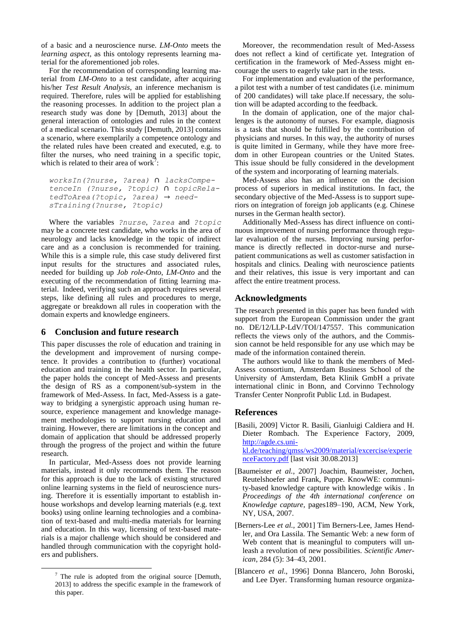of a basic and a neuroscience nurse. *LM-Onto* meets the *learning aspect*, as this ontology represents learning material for the aforementioned job roles.

For the recommendation of corresponding learning material from *LM-Onto* to a test candidate, after acquiring his/her *Test Result Analysis*, an inference mechanism is required. Therefore, rules will be applied for establishing the reasoning processes. In addition to the project plan a research study was done by [Demuth, 2013] about the general interaction of ontologies and rules in the context of a medical scenario. This study [Demuth, 2013] contains a scenario, where exemplarily a competence ontology and the related rules have been created and executed, e.g. to filter the nurses, who need training in a specific topic, which is related to their area of work<sup>7</sup>:

*worksIn(?nurse, ?area)* ∩ *lacksCompetenceIn (?nurse, ?topic)* ∩ *topicRelatedToArea(?topic, ?area)* → *needsTraining(?nurse, ?topic)* 

Where the variables *?nurse*, *?area* and *?topic* may be a concrete test candidate, who works in the area of neurology and lacks knowledge in the topic of indirect care and as a conclusion is recommended for training. While this is a simple rule, this case study delivered first input results for the structures and associated rules, needed for building up *Job role-Onto*, *LM-Onto* and the executing of the recommendation of fitting learning material. Indeed, verifying such an approach requires several steps, like defining all rules and procedures to merge, aggregate or breakdown all rules in cooperation with the domain experts and knowledge engineers.

#### **6 Conclusion and future research**

This paper discusses the role of education and training in the development and improvement of nursing competence. It provides a contribution to (further) vocational education and training in the health sector. In particular, the paper holds the concept of Med-Assess and presents the design of RS as a component/sub-system in the framework of Med-Assess. In fact, Med-Assess is a gateway to bridging a synergistic approach using human resource, experience management and knowledge management methodologies to support nursing education and training. However, there are limitations in the concept and domain of application that should be addressed properly through the progress of the project and within the future research.

In particular, Med-Assess does not provide learning materials, instead it only recommends them. The reason for this approach is due to the lack of existing structured online learning systems in the field of neuroscience nursing. Therefore it is essentially important to establish inhouse workshops and develop learning materials (e.g. text books) using online learning technologies and a combination of text-based and multi-media materials for learning and education. In this way, licensing of text-based materials is a major challenge which should be considered and handled through communication with the copyright holders and publishers.

 $\overline{a}$ 

Moreover, the recommendation result of Med-Assess does not reflect a kind of certificate yet. Integration of certification in the framework of Med-Assess might encourage the users to eagerly take part in the tests.

For implementation and evaluation of the performance, a pilot test with a number of test candidates (i.e. minimum of 200 candidates) will take place.If necessary, the solution will be adapted according to the feedback.

In the domain of application, one of the major challenges is the autonomy of nurses. For example, diagnosis is a task that should be fulfilled by the contribution of physicians and nurses. In this way, the authority of nurses is quite limited in Germany, while they have more freedom in other European countries or the United States. This issue should be fully considered in the development of the system and incorporating of learning materials.

Med-Assess also has an influence on the decision process of superiors in medical institutions. In fact, the secondary objective of the Med-Assess is to support superiors on integration of foreign job applicants (e.g. Chinese nurses in the German health sector).

Additionally Med-Assess has direct influence on continuous improvement of nursing performance through regular evaluation of the nurses. Improving nursing performance is directly reflected in doctor-nurse and nursepatient communications as well as customer satisfaction in hospitals and clinics. Dealing with neuroscience patients and their relatives, this issue is very important and can affect the entire treatment process.

# **Acknowledgments**

The research presented in this paper has been funded with support from the European Commission under the grant no. DE/12/LLP-LdV/TOI/147557. This communication reflects the views only of the authors, and the Commission cannot be held responsible for any use which may be made of the information contained therein.

The authors would like to thank the members of Med-Assess consortium, Amsterdam Business School of the University of Amsterdam, Beta Klinik GmbH a private international clinic in Bonn, and Corvinno Technology Transfer Center Nonprofit Public Ltd. in Budapest.

# **References**

[Basili, 2009] Victor R. Basili, Gianluigi Caldiera and H. Dieter Rombach. The Experience Factory, 2009, http://agde.cs.unikl.de/teaching/qmss/ws2009/material/excercise/experie nceFactory.pdf [last visit 30.08.2013]

- [Baumeister *et al.*, 2007] Joachim, Baumeister, Jochen, Reutelshoefer and Frank, Puppe. KnowWE: community-based knowledge capture with knowledge wikis . In *Proceedings of the 4th international conference on Knowledge capture,* pages189–190, ACM, New York, NY, USA, 2007.
- [Berners-Lee *et al.,* 2001] Tim Berners-Lee, James Hendler, and Ora Lassila. The Semantic Web: a new form of Web content that is meaningful to computers will unleash a revolution of new possibilities*. Scientific American*, 284 (5): 34–43, 2001.
- [Blancero *et al*., 1996] Donna Blancero, John Boroski, and Lee Dyer. Transforming human resource organiza-

 $7$  The rule is adopted from the original source [Demuth, 2013] to address the specific example in the framework of this paper.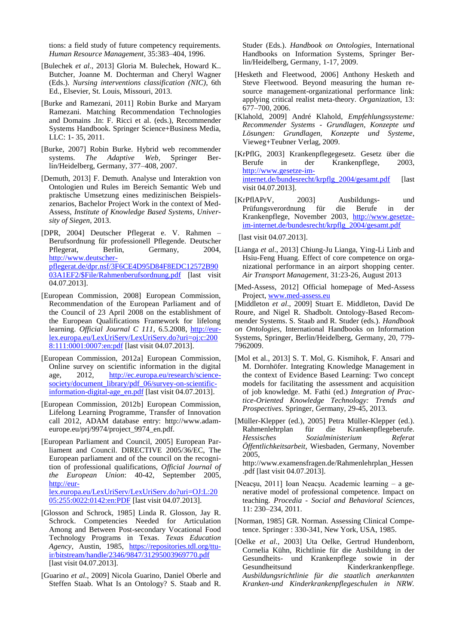tions: a field study of future competency requirements. *Human Resource Management*, 35:383–404, 1996.

- [Bulechek *et al*., 2013] Gloria M. Bulechek, Howard K.. Butcher, Joanne M. Dochterman and Cheryl Wagner (Eds.). *Nursing interventions classification (NIC)*, 6th Ed., Elsevier, St. Louis, Missouri, 2013.
- [Burke and Ramezani, 2011] Robin Burke and Maryam Ramezani. Matching Recommendation Technologies and Domains .In: F. Ricci et al. (eds.), Recommender Systems Handbook. Springer Science+Business Media, LLC: 1- 35, 2011.
- [Burke, 2007] Robin Burke. Hybrid web recommender systems. *The Adaptive Web*, Springer Berlin/Heidelberg, Germany, 377–408, 2007.
- [Demuth, 2013] F. Demuth. Analyse und Interaktion von Ontologien und Rules im Bereich Semantic Web und praktische Umsetzung eines medizinischen Beispielszenarios, Bachelor Project Work in the context of Med-Assess, *Institute of Knowledge Based Systems, University of Siegen*, 2013.
- [DPR, 2004] Deutscher Pflegerat e. V. Rahmen Berufsordnung für professionell Pflegende. Deutscher Pflegerat, Berlin, Germany, 2004, [http://www.deutscher](http://www.deutscher-pflegerat.de/dpr.nsf/3F6CE4D95D84F8EDC12572B9003A1EF2/$File/Rahmenberufsordnung.pdf)[pflegerat.de/dpr.nsf/3F6CE4D95D84F8EDC12572B90](http://www.deutscher-pflegerat.de/dpr.nsf/3F6CE4D95D84F8EDC12572B9003A1EF2/$File/Rahmenberufsordnung.pdf) [03A1EF2/\\$File/Rahmenberufsordnung.pdf](http://www.deutscher-pflegerat.de/dpr.nsf/3F6CE4D95D84F8EDC12572B9003A1EF2/$File/Rahmenberufsordnung.pdf) [last visit 04.07.2013].
- [European Commission, 2008] European Commission, Recommendation of the European Parliament and of the Council of 23 April 2008 on the establishment of the European Qualifications Framework for lifelong learning. *Official Journal C 111*, 6.5.2008, [http://eur](http://eur-lex.europa.eu/LexUriServ/LexUriServ.do?uri=oj:c:2008:111:0001:0007:en:pdf)[lex.europa.eu/LexUriServ/LexUriServ.do?uri=oj:c:200](http://eur-lex.europa.eu/LexUriServ/LexUriServ.do?uri=oj:c:2008:111:0001:0007:en:pdf) [8:111:0001:0007:en:pdf](http://eur-lex.europa.eu/LexUriServ/LexUriServ.do?uri=oj:c:2008:111:0001:0007:en:pdf) [last visit 04.07.2013].
- [European Commission, 2012a] European Commission, Online survey on scientific information in the digital age, 2012, [http://ec.europa.eu/research/science](http://ec.europa.eu/research/science-society/document_library/pdf_06/survey-on-scientific-information-digital-age_en.pdf)[society/document\\_library/pdf\\_06/survey-on-scientific](http://ec.europa.eu/research/science-society/document_library/pdf_06/survey-on-scientific-information-digital-age_en.pdf)information-digital-age en.pdf [last visit 04.07.2013].
- [European Commission, 2012b] European Commission, Lifelong Learning Programme, Transfer of Innovation call 2012, ADAM database entry: http://www.adameurope.eu/prj/9974/project\_9974\_en.pdf.
- [European Parliament and Council, 2005] European Parliament and Council. DIRECTIVE 2005/36/EC, The European parliament and of the council on the recognition of professional qualifications, *Official Journal of the European Union*: 40-42, September 2005, [http://eur](http://eur-lex.europa.eu/LexUriServ/LexUriServ.do?uri=OJ:L:2005:255:0022:0142:en:PDF)[lex.europa.eu/LexUriServ/LexUriServ.do?uri=OJ:L:20](http://eur-lex.europa.eu/LexUriServ/LexUriServ.do?uri=OJ:L:2005:255:0022:0142:en:PDF)
- [05:255:0022:0142:en:PDF](http://eur-lex.europa.eu/LexUriServ/LexUriServ.do?uri=OJ:L:2005:255:0022:0142:en:PDF) [last visit 04.07.2013]. [Glosson and Schrock, 1985] Linda R. Glosson, Jay R.
- Schrock. Competencies Needed for Articulation Among and Between Post-secondary Vocational Food Technology Programs in Texas. *Texas Education Agency*, Austin, 1985, [https://repositories.tdl.org/ttu](https://repositories.tdl.org/ttu-ir/bitstream/handle/2346/9847/31295003969770.pdf)[ir/bitstream/handle/2346/9847/31295003969770.pdf](https://repositories.tdl.org/ttu-ir/bitstream/handle/2346/9847/31295003969770.pdf) [last visit 04.07.2013].
- [Guarino *et al*., 2009] Nicola Guarino, Daniel Oberle and Steffen Staab. What Is an Ontology? S. Staab and R.

Studer (Eds.). *Handbook on Ontologies*, International Handbooks on Information Systems, Springer Berlin/Heidelberg, Germany, 1-17, 2009.

- [Hesketh and Fleetwood, 2006] Anthony Hesketh and Steve Fleetwood. Beyond measuring the human resource management-organizational performance link: applying critical realist meta-theory. *Organization*, 13: 677–700, 2006.
- [Klahold, 2009] André Klahold, *Empfehlungssysteme: Recommender Systems - Grundlagen, Konzepte und Lösungen: Grundlagen, Konzepte und Systeme*, Vieweg+Teubner Verlag, 2009.
- [KrPflG, 2003] Krankenpflegegesetz. Gesetz über die Berufe in der Krankenpflege, 2003, [http://www.gesetze-im](http://www.gesetze-im-internet.de/bundesrecht/krpflg_2004/gesamt.pdf)[internet.de/bundesrecht/krpflg\\_2004/gesamt.pdf](http://www.gesetze-im-internet.de/bundesrecht/krpflg_2004/gesamt.pdf) [last visit 04.07.2013].
- [KrPflAPrV, 2003] Ausbildungs- und Prüfungsverordnung für die Berufe in der Krankenpflege, November 2003, [http://www.gesetze](http://www.gesetze-im-internet.de/bundesrecht/krpflg_2004/gesamt.pdf)[im-internet.de/bundesrecht/krpflg\\_2004/gesamt.pdf](http://www.gesetze-im-internet.de/bundesrecht/krpflg_2004/gesamt.pdf)

[last visit 04.07.2013].

- [Lianga *et al*., 2013] Chiung-Ju Lianga, Ying-Li Linb and Hsiu-Feng Huang. Effect of core competence on organizational performance in an airport shopping center. *Air Transport Management,* 31:23-26, August 2013
- [Med-Assess, 2012] Official homepage of Med-Assess Project, [www.med-assess.eu](file:///E:\Doc\Paper_Works\2013\LWA_2013\Camera-ready_version\www.med-assess.eu)

[Middleton *et al*., 2009] Stuart E. Middleton, David De Roure, and Nigel R. Shadbolt. Ontology-Based Recommender Systems. S. Staab and R. Studer (eds.). *Handbook on Ontologies*, International Handbooks on Information Systems, Springer, Berlin/Heidelberg, Germany, 20, 779- 7962009.

- [Mol et al., 2013] S. T. Mol, G. Kismihok, F. Ansari and M. Dornhöfer. Integrating Knowledge Management in the context of Evidence Based Learning: Two concept models for facilitating the assessment and acquisition of job knowledge. M. Fathi (ed.) *Integration of Practice-Oriented Knowledge Technology: Trends and Prospectives*. Springer, Germany, 29-45, 2013.
- [Müller-Klepper (ed.), 2005] Petra Müller-Klepper (ed.). Rahmenlehrplan für die Krankenpflegeberufe. *Hessisches Sozialministerium Referat Öffentlichkeitsarbeit*, Wiesbaden, Germany, November 2005,

[http://www.examensfragen.de/Rahmenlehrplan\\_Hessen](http://www.examensfragen.de/Rahmenlehrplan_Hessen.pdf) [.pdf](http://www.examensfragen.de/Rahmenlehrplan_Hessen.pdf) [last visit 04.07.2013].

- [Neacşu, 2011] Ioan Neacşu. Academic learning a generative model of professional competence. Impact on teaching. *Procedia - Social and Behavioral Sciences,*  11: 230–234, 2011.
- [Norman, 1985] GR. Norman. Assessing Clinical Competence. Springer : 330-341, New York, USA, 1985.
- [Oelke *et al.*, 2003] Uta Oelke, Gertrud Hundenborn, Cornelia Kühn, Richtlinie für die Ausbildung in der Gesundheits- und Krankenpflege sowie in der Gesundheitsund Kinderkrankenpflege. *Ausbildungsrichtlinie für die staatlich anerkannten Kranken-und Kinderkrankenpflegeschulen in NRW.*